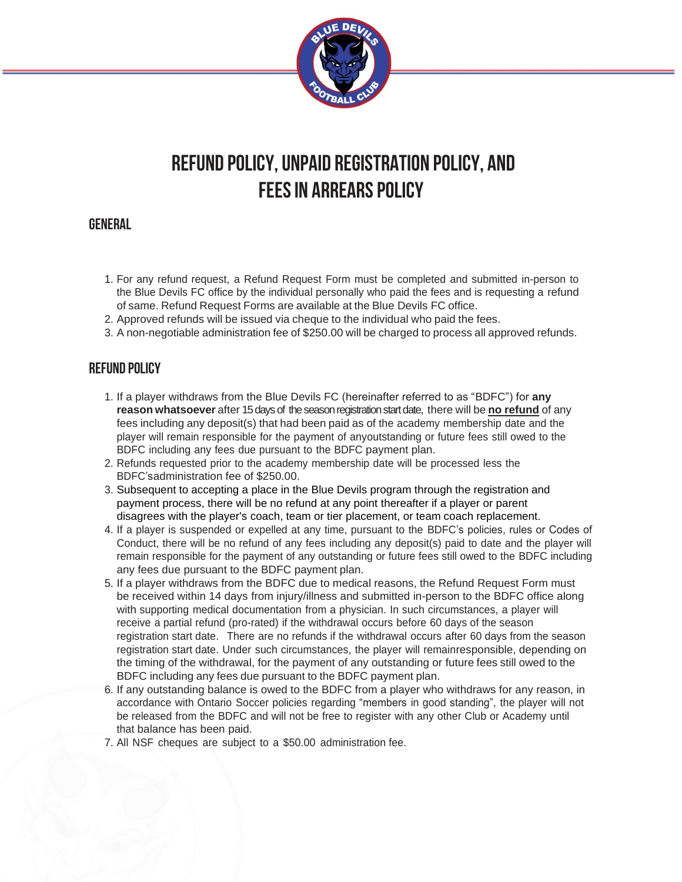

# **REFUND POLICY, UNPAID REGISTRATION POLICY, and FEESIN ARREARS POLICY**

# **GENERAL**

- 1. For any refund request, a Refund Request Form must be completed and submitted in-person to the Blue Devils FC office by the individual personally who paid the fees and is requesting a refund of same. Refund Request Forms are available at the Blue Devils FC office.
- 2. Approved refunds will be issued via cheque to the individual who paid the fees.
- 3. A non-negotiable administration fee of \$250.00 will be charged to process all approved refunds.

# **refund policy**

- 1. If a player withdraws from the Blue Devils FC (hereinafter referred to as "BDFC") for **any reason whatsoever** after 15days of the season registrationstart date, there will be **no refund** of any fees including any deposit(s) that had been paid as of the academy membership date and the player will remain responsible for the payment of anyoutstanding or future fees still owed to the BDFC including any fees due pursuant to the BDFC payment plan.
- 2. Refunds requested prior to the academy membership date will be processed less the BDFC'sadministration fee of \$250.00.
- 3. Subsequent to accepting a place in the Blue Devils program through the registration and payment process, there will be no refund at any point thereafter if a player or parent disagrees with the player's coach, team or tier placement, or team coach replacement.
- 4. If a player is suspended or expelled at any time, pursuant to the BDFC's policies, rules or Codes of Conduct, there will be no refund of any fees including any deposit(s) paid to date and the player will remain responsible for the payment of any outstanding or future fees still owed to the BDFC including any fees due pursuant to the BDFC payment plan.
- 5. If a player withdraws from the BDFC due to medical reasons, the Refund Request Form must be received within 14 days from injury/illness and submitted in-person to the BDFC office along with supporting medical documentation from a physician. In such circumstances, a player will receive a partial refund (pro-rated) if the withdrawal occurs before 60 days of the season registration start date. There are no refunds if the withdrawal occurs after 60 days from the season registration start date. Under such circumstances, the player will remainresponsible, depending on the timing of the withdrawal, for the payment of any outstanding or future fees still owed to the BDFC including any fees due pursuant to the BDFC payment plan.
- 6. If any outstanding balance is owed to the BDFC from a player who withdraws for any reason, in accordance with Ontario Soccer policies regarding "members in good standing", the player will not be released from the BDFC and will not be free to register with any other Club or Academy until that balance has been paid.
- 7. All NSF cheques are subject to a \$50.00 administration fee.